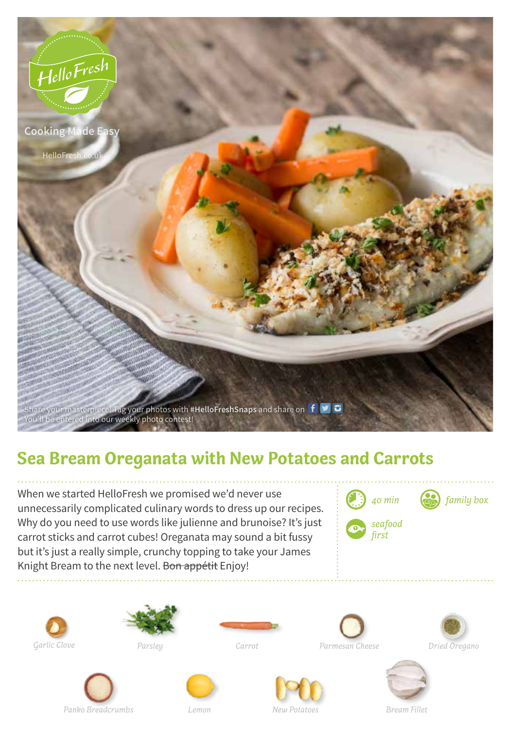

## **Sea Bream Oreganata with New Potatoes and Carrots**

When we started HelloFresh we promised we'd never use unnecessarily complicated culinary words to dress up our recipes. Why do you need to use words like julienne and brunoise? It's just carrot sticks and carrot cubes! Oreganata may sound a bit fussy but it's just a really simple, crunchy topping to take your James Knight Bream to the next level. Bon appétit Enjoy!



*family box*

















*Dried Oregano*









*New Potatoes Bream Fillet*